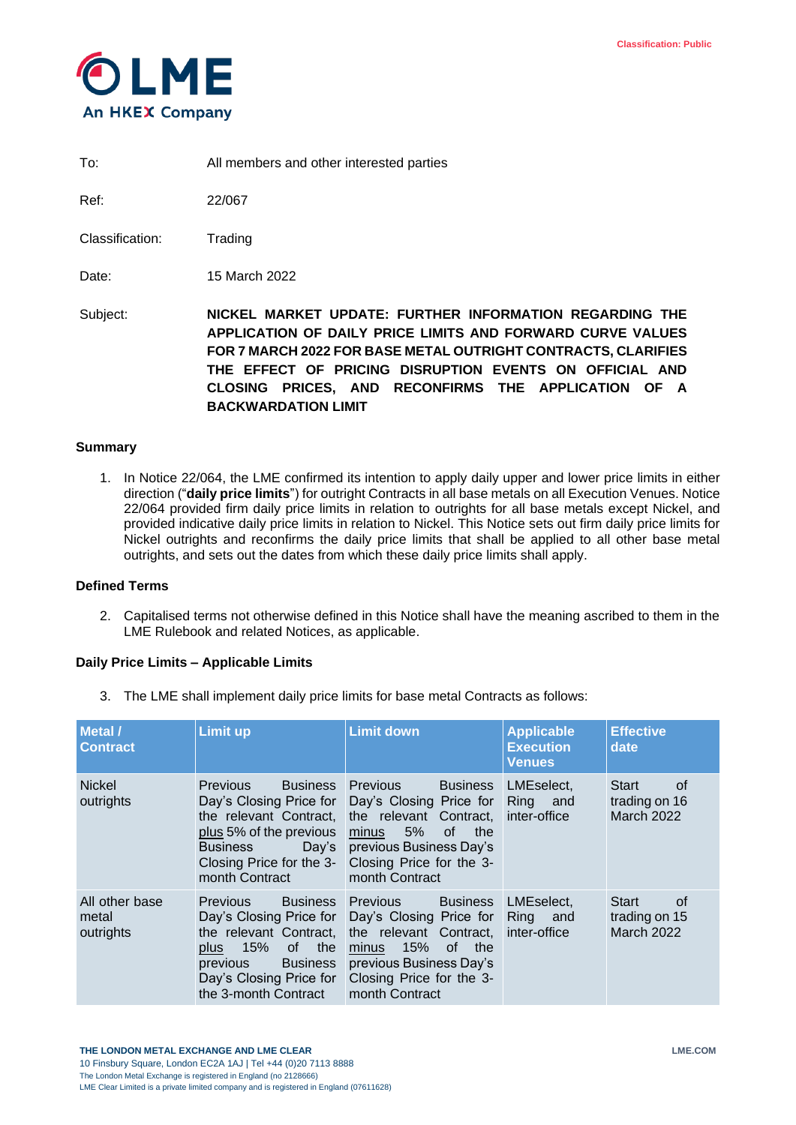

To: All members and other interested parties

Ref: 22/067

Classification: Trading

Date: 15 March 2022

Subject: **NICKEL MARKET UPDATE: FURTHER INFORMATION REGARDING THE APPLICATION OF DAILY PRICE LIMITS AND FORWARD CURVE VALUES FOR 7 MARCH 2022 FOR BASE METAL OUTRIGHT CONTRACTS, CLARIFIES THE EFFECT OF PRICING DISRUPTION EVENTS ON OFFICIAL AND CLOSING PRICES, AND RECONFIRMS THE APPLICATION OF A BACKWARDATION LIMIT**

## **Summary**

1. In Notice 22/064, the LME confirmed its intention to apply daily upper and lower price limits in either direction ("**daily price limits**") for outright Contracts in all base metals on all Execution Venues. Notice 22/064 provided firm daily price limits in relation to outrights for all base metals except Nickel, and provided indicative daily price limits in relation to Nickel. This Notice sets out firm daily price limits for Nickel outrights and reconfirms the daily price limits that shall be applied to all other base metal outrights, and sets out the dates from which these daily price limits shall apply.

#### **Defined Terms**

2. Capitalised terms not otherwise defined in this Notice shall have the meaning ascribed to them in the LME Rulebook and related Notices, as applicable.

## **Daily Price Limits – Applicable Limits**

<span id="page-0-0"></span>3. The LME shall implement daily price limits for base metal Contracts as follows:

| <b>Metal</b> /<br><b>Contract</b>    | <b>Limit up</b>                                                                                                                                                                                         | <b>Limit down</b>                                                                                                                                                                            | <b>Applicable</b><br><b>Execution</b><br><b>Venues</b> | <b>Effective</b><br>date                                 |  |
|--------------------------------------|---------------------------------------------------------------------------------------------------------------------------------------------------------------------------------------------------------|----------------------------------------------------------------------------------------------------------------------------------------------------------------------------------------------|--------------------------------------------------------|----------------------------------------------------------|--|
| <b>Nickel</b><br>outrights           | <b>Previous</b><br><b>Business</b><br>Day's Closing Price for<br>the relevant Contract.<br>plus 5% of the previous<br><b>Business</b><br>Day's<br>Closing Price for the 3-<br>month Contract            | <b>Previous</b><br><b>Business</b><br>Day's Closing Price for<br>the relevant Contract.<br>5%<br>minus<br>0f<br>the<br>previous Business Day's<br>Closing Price for the 3-<br>month Contract | LMEselect,<br>Ring and<br>inter-office                 | <b>Start</b><br>of<br>trading on 16<br><b>March 2022</b> |  |
| All other base<br>metal<br>outrights | <b>Business</b><br><b>Previous</b><br>Day's Closing Price for<br>the relevant Contract,<br>15%<br>the<br>of  <br>plus<br><b>Business</b><br>previous<br>Day's Closing Price for<br>the 3-month Contract | <b>Previous</b><br><b>Business</b><br>Day's Closing Price for<br>the relevant Contract.<br>- 15%<br>of the<br>minus<br>previous Business Day's<br>Closing Price for the 3-<br>month Contract | LMEselect.<br>Ring and<br>inter-office                 | <b>Start</b><br>of<br>trading on 15<br>March 2022        |  |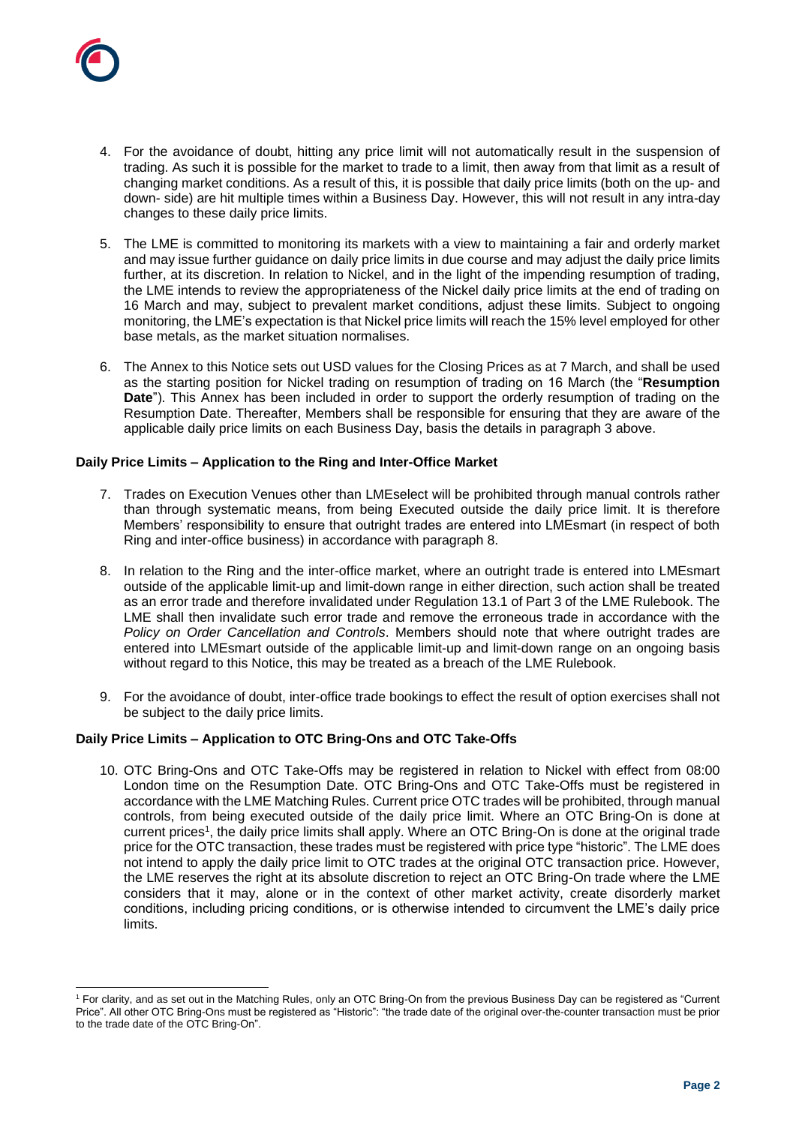

l

- 4. For the avoidance of doubt, hitting any price limit will not automatically result in the suspension of trading. As such it is possible for the market to trade to a limit, then away from that limit as a result of changing market conditions. As a result of this, it is possible that daily price limits (both on the up- and down- side) are hit multiple times within a Business Day. However, this will not result in any intra-day changes to these daily price limits.
- 5. The LME is committed to monitoring its markets with a view to maintaining a fair and orderly market and may issue further guidance on daily price limits in due course and may adjust the daily price limits further, at its discretion. In relation to Nickel, and in the light of the impending resumption of trading, the LME intends to review the appropriateness of the Nickel daily price limits at the end of trading on 16 March and may, subject to prevalent market conditions, adjust these limits. Subject to ongoing monitoring, the LME's expectation is that Nickel price limits will reach the 15% level employed for other base metals, as the market situation normalises.
- 6. The Annex to this Notice sets out USD values for the Closing Prices as at 7 March, and shall be used as the starting position for Nickel trading on resumption of trading on 16 March (the "**Resumption Date**"). This Annex has been included in order to support the orderly resumption of trading on the Resumption Date. Thereafter, Members shall be responsible for ensuring that they are aware of the applicable daily price limits on each Business Day, basis the details in paragraph [3](#page-0-0) above.

## **Daily Price Limits – Application to the Ring and Inter-Office Market**

- 7. Trades on Execution Venues other than LMEselect will be prohibited through manual controls rather than through systematic means, from being Executed outside the daily price limit. It is therefore Members' responsibility to ensure that outright trades are entered into LMEsmart (in respect of both Ring and inter-office business) in accordance with paragraph [8.](#page-1-0)
- <span id="page-1-0"></span>8. In relation to the Ring and the inter-office market, where an outright trade is entered into LMEsmart outside of the applicable limit-up and limit-down range in either direction, such action shall be treated as an error trade and therefore invalidated under Regulation 13.1 of Part 3 of the LME Rulebook. The LME shall then invalidate such error trade and remove the erroneous trade in accordance with the *Policy on Order Cancellation and Controls*. Members should note that where outright trades are entered into LMEsmart outside of the applicable limit-up and limit-down range on an ongoing basis without regard to this Notice, this may be treated as a breach of the LME Rulebook.
- 9. For the avoidance of doubt, inter-office trade bookings to effect the result of option exercises shall not be subject to the daily price limits.

#### **Daily Price Limits – Application to OTC Bring-Ons and OTC Take-Offs**

10. OTC Bring-Ons and OTC Take-Offs may be registered in relation to Nickel with effect from 08:00 London time on the Resumption Date. OTC Bring-Ons and OTC Take-Offs must be registered in accordance with the LME Matching Rules. Current price OTC trades will be prohibited, through manual controls, from being executed outside of the daily price limit. Where an OTC Bring-On is done at current prices<sup>1</sup>, the daily price limits shall apply. Where an OTC Bring-On is done at the original trade price for the OTC transaction, these trades must be registered with price type "historic". The LME does not intend to apply the daily price limit to OTC trades at the original OTC transaction price. However, the LME reserves the right at its absolute discretion to reject an OTC Bring-On trade where the LME considers that it may, alone or in the context of other market activity, create disorderly market conditions, including pricing conditions, or is otherwise intended to circumvent the LME's daily price limits.

<sup>1</sup> For clarity, and as set out in the Matching Rules, only an OTC Bring-On from the previous Business Day can be registered as "Current Price". All other OTC Bring-Ons must be registered as "Historic": "the trade date of the original over-the-counter transaction must be prior to the trade date of the OTC Bring-On".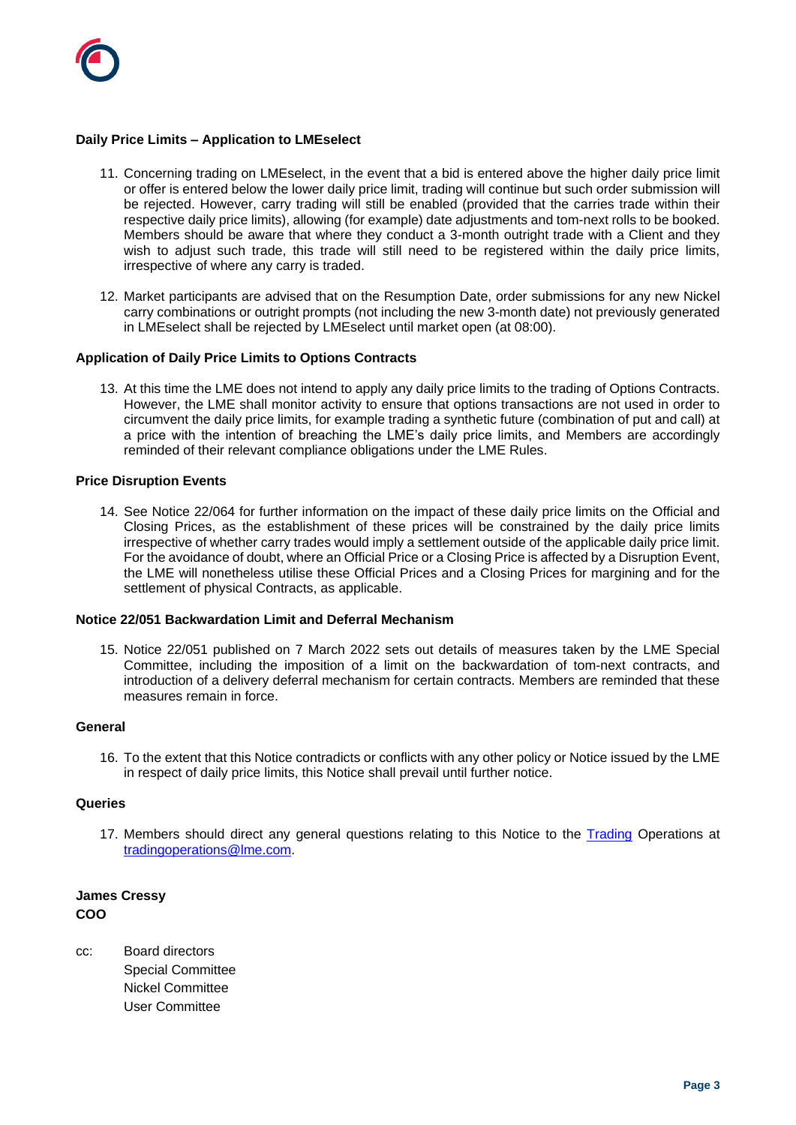

## **Daily Price Limits – Application to LMEselect**

- 11. Concerning trading on LMEselect, in the event that a bid is entered above the higher daily price limit or offer is entered below the lower daily price limit, trading will continue but such order submission will be rejected. However, carry trading will still be enabled (provided that the carries trade within their respective daily price limits), allowing (for example) date adjustments and tom-next rolls to be booked. Members should be aware that where they conduct a 3-month outright trade with a Client and they wish to adjust such trade, this trade will still need to be registered within the daily price limits, irrespective of where any carry is traded.
- 12. Market participants are advised that on the Resumption Date, order submissions for any new Nickel carry combinations or outright prompts (not including the new 3-month date) not previously generated in LMEselect shall be rejected by LMEselect until market open (at 08:00).

#### **Application of Daily Price Limits to Options Contracts**

13. At this time the LME does not intend to apply any daily price limits to the trading of Options Contracts. However, the LME shall monitor activity to ensure that options transactions are not used in order to circumvent the daily price limits, for example trading a synthetic future (combination of put and call) at a price with the intention of breaching the LME's daily price limits, and Members are accordingly reminded of their relevant compliance obligations under the LME Rules.

#### **Price Disruption Events**

14. See Notice 22/064 for further information on the impact of these daily price limits on the Official and Closing Prices, as the establishment of these prices will be constrained by the daily price limits irrespective of whether carry trades would imply a settlement outside of the applicable daily price limit. For the avoidance of doubt, where an Official Price or a Closing Price is affected by a Disruption Event, the LME will nonetheless utilise these Official Prices and a Closing Prices for margining and for the settlement of physical Contracts, as applicable.

#### **Notice 22/051 Backwardation Limit and Deferral Mechanism**

15. Notice 22/051 published on 7 March 2022 sets out details of measures taken by the LME Special Committee, including the imposition of a limit on the backwardation of tom-next contracts, and introduction of a delivery deferral mechanism for certain contracts. Members are reminded that these measures remain in force.

#### **General**

16. To the extent that this Notice contradicts or conflicts with any other policy or Notice issued by the LME in respect of daily price limits, this Notice shall prevail until further notice.

#### **Queries**

17. Members should direct any general questions relating to this Notice to the **Trading Operations** at [tradingoperations@lme.com.](mailto:tradingoperations@lme.com)

**James Cressy COO**

cc: Board directors Special Committee Nickel Committee User Committee